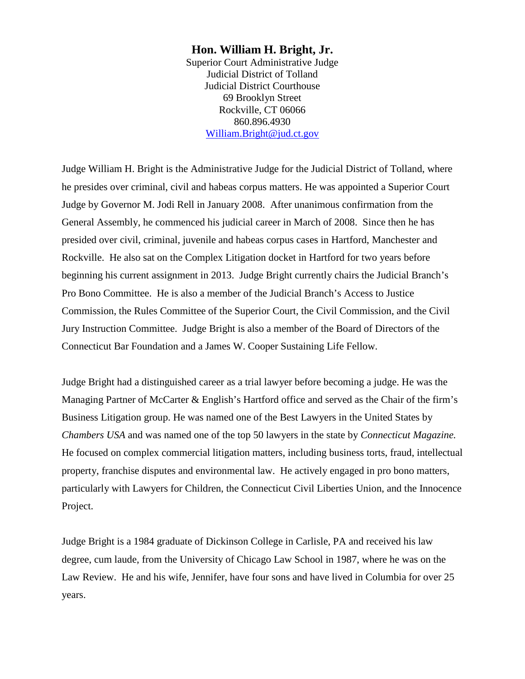### **Hon. William H. Bright, Jr.**

Superior Court Administrative Judge Judicial District of Tolland Judicial District Courthouse 69 Brooklyn Street Rockville, CT 06066 860.896.4930 [William.Bright@jud.ct.gov](mailto:William.Bright@jud.ct.gov)

Judge William H. Bright is the Administrative Judge for the Judicial District of Tolland, where he presides over criminal, civil and habeas corpus matters. He was appointed a Superior Court Judge by Governor M. Jodi Rell in January 2008. After unanimous confirmation from the General Assembly, he commenced his judicial career in March of 2008. Since then he has presided over civil, criminal, juvenile and habeas corpus cases in Hartford, Manchester and Rockville. He also sat on the Complex Litigation docket in Hartford for two years before beginning his current assignment in 2013. Judge Bright currently chairs the Judicial Branch's Pro Bono Committee. He is also a member of the Judicial Branch's Access to Justice Commission, the Rules Committee of the Superior Court, the Civil Commission, and the Civil Jury Instruction Committee. Judge Bright is also a member of the Board of Directors of the Connecticut Bar Foundation and a James W. Cooper Sustaining Life Fellow.

Judge Bright had a distinguished career as a trial lawyer before becoming a judge. He was the Managing Partner of McCarter & English's Hartford office and served as the Chair of the firm's Business Litigation group. He was named one of the Best Lawyers in the United States by *Chambers USA* and was named one of the top 50 lawyers in the state by *Connecticut Magazine.* He focused on complex commercial litigation matters, including business torts, fraud, intellectual property, franchise disputes and environmental law. He actively engaged in pro bono matters, particularly with Lawyers for Children, the Connecticut Civil Liberties Union, and the Innocence Project.

Judge Bright is a 1984 graduate of Dickinson College in Carlisle, PA and received his law degree, cum laude, from the University of Chicago Law School in 1987, where he was on the Law Review. He and his wife, Jennifer, have four sons and have lived in Columbia for over 25 years.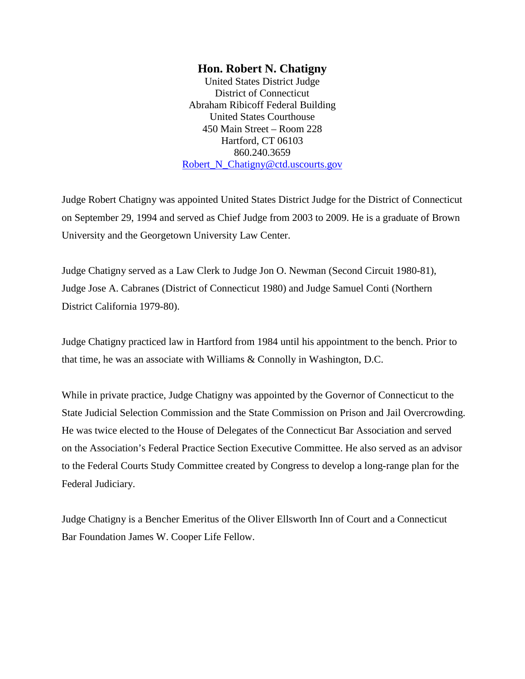### **Hon. Robert N. Chatigny**

United States District Judge District of Connecticut Abraham Ribicoff Federal Building United States Courthouse 450 Main Street – Room 228 Hartford, CT 06103 860.240.3659 [Robert\\_N\\_Chatigny@ctd.uscourts.gov](mailto:Robert_N_Chatigny@ctd.uscourts.gov)

Judge Robert Chatigny was appointed United States District Judge for the District of Connecticut on September 29, 1994 and served as Chief Judge from 2003 to 2009. He is a graduate of Brown University and the Georgetown University Law Center.

Judge Chatigny served as a Law Clerk to Judge Jon O. Newman (Second Circuit 1980-81), Judge Jose A. Cabranes (District of Connecticut 1980) and Judge Samuel Conti (Northern District California 1979-80).

Judge Chatigny practiced law in Hartford from 1984 until his appointment to the bench. Prior to that time, he was an associate with Williams & Connolly in Washington, D.C.

While in private practice, Judge Chatigny was appointed by the Governor of Connecticut to the State Judicial Selection Commission and the State Commission on Prison and Jail Overcrowding. He was twice elected to the House of Delegates of the Connecticut Bar Association and served on the Association's Federal Practice Section Executive Committee. He also served as an advisor to the Federal Courts Study Committee created by Congress to develop a long-range plan for the Federal Judiciary.

Judge Chatigny is a Bencher Emeritus of the Oliver Ellsworth Inn of Court and a Connecticut Bar Foundation James W. Cooper Life Fellow.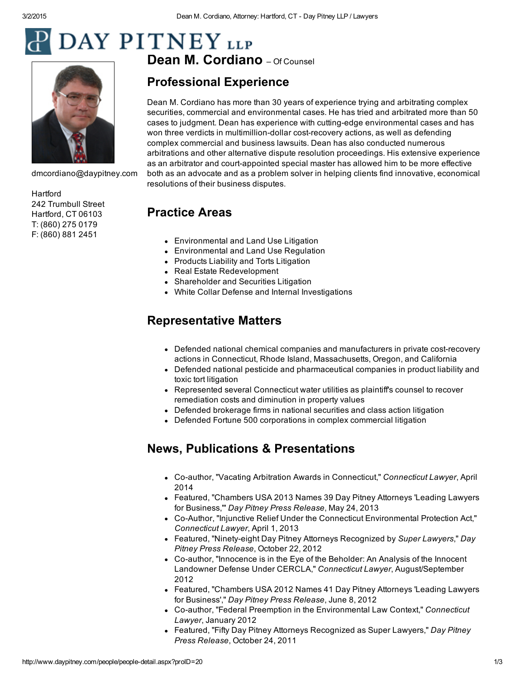# **DAY PITNEY** LLP



[dmcordiano@daypitney.com](mailto:dmcordiano@daypitney.com)

**[Hartford](http://www.daypitney.com/offices/Hartford-CT/)** 242 Trumbull Street Hartford, CT 06103 T: (860) 275 0179 F: (860) 881 2451

Dean M. [Cordian](http://www.daypitney.com/)o - Of Counsel

# Professional Experience

Dean M. Cordiano has more than 30 years of experience trying and arbitrating complex securities, commercial and environmental cases. He has tried and arbitrated more than 50 cases to judgment. Dean has experience with cutting-edge environmental cases and has won three verdicts in multimillion-dollar cost-recovery actions, as well as defending complex commercial and business lawsuits. Dean has also conducted numerous arbitrations and other alternative dispute resolution proceedings. His extensive experience as an arbitrator and court-appointed special master has allowed him to be more effective both as an advocate and as a problem solver in helping clients find innovative, economical resolutions of their business disputes.

# Practice Areas

- [Environmental](http://www.daypitney.com/practices/Environmental-and-Land-Use-Litigation/) and Land Use Litigation
- [Environmental](http://www.daypitney.com/practices/Environmental-and-Land-Use-Regulation/) and Land Use Regulation
- Products Liability and Torts [Litigation](http://www.daypitney.com/practices/Products-Liability-and-Torts-Litigation/)
- Real Estate [Redevelopment](http://www.daypitney.com/practices/Real-Estate-Redevelopment/)
- [Shareholder](http://www.daypitney.com/practices/Shareholder-and-Securities-Litigation/) and Securities Litigation
- White Collar Defense and Internal [Investigations](http://www.daypitney.com/practices/White-Collar-Defense-and-Internal-Investigations/)

# Representative Matters

- Defended national chemical companies and manufacturers in private costrecovery actions in Connecticut, Rhode Island, Massachusetts, Oregon, and California
- Defended national pesticide and pharmaceutical companies in product liability and toxic tort litigation
- Represented several Connecticut water utilities as plaintiff's counsel to recover remediation costs and diminution in property values
- Defended brokerage firms in national securities and class action litigation
- Defended Fortune 500 corporations in complex commercial litigation

# News, Publications & Presentations

- Co-author, "Vacating Arbitration Awards in Connecticut," *Connecticut Lawyer*, April 2014
- Featured, ["Chambers](http://www.daypitney.com/news/newsDetail.aspx?pkid=4660) USA 2013 Names 39 Day Pitney Attorneys 'Leading Lawyers for Business,'" *Day Pitney Press Release*, May 24, 2013
- Co-Author, "Injunctive Relief Under the Connecticut [Environmental](http://www.daypitney.com/news/newsDetail.aspx?pkid=4603) Protection Act," *Connecticut Lawyer*, April 1, 2013
- Featured, ["Ninetyeight](http://www.daypitney.com/news/newsDetail.aspx?pkid=4301) Day Pitney Attorneys Recognized by *Super Lawyers*," *Day Pitney Press Release*, October 22, 2012
- Co-author, "Innocence is in the Eye of the Beholder: An Analysis of the Innocent Landowner Defense Under CERCLA," *Connecticut Lawyer*, [August/September](http://www.daypitney.com/news/newsDetail.aspx?pkid=4258) 2012
- Featured, ["Chambers](http://www.daypitney.com/news/newsDetail.aspx?pkid=4170) USA 2012 Names 41 Day Pitney Attorneys 'Leading Lawyers for Business'," *Day Pitney Press Release*, June 8, 2012
- Co-author, "Federal Preemption in the [Environmental](http://www.daypitney.com/news/newsDetail.aspx?pkid=3980) Law Context," Connecticut *Lawyer*, January 2012
- Featured, "Fifty Day Pitney Attorneys [Recognized](http://www.daypitney.com/news/newsDetail.aspx?pkid=3869) as Super Lawyers," *Day Pitney Press Release*, October 24, 2011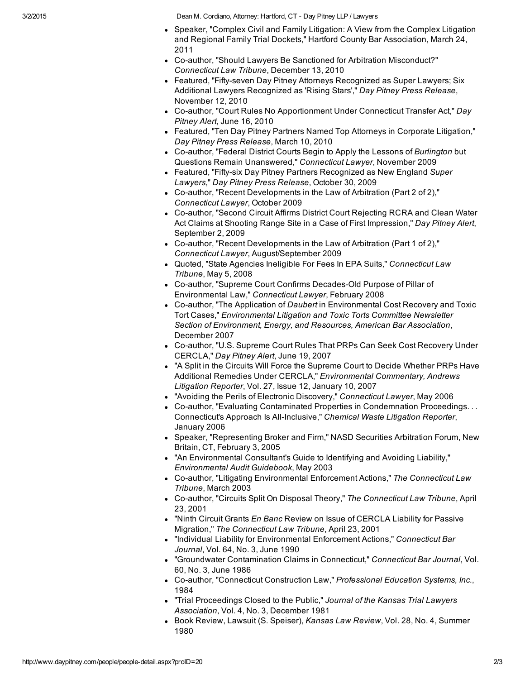3/2/2015 Dean M. Cordiano, Attorney: Hartford, CT Day Pitney LLP / Lawyers

- Speaker, "Complex Civil and Family Litigation: A View from the Complex Litigation and Regional Family Trial Dockets," Hartford County Bar [Association,](http://www.daypitney.com/news/newsDetail.aspx?pkid=3579) March 24, 2011
- Co-author, "Should Lawyers Be Sanctioned for Arbitration [Misconduct?"](http://www.daypitney.com/news/newsDetail.aspx?pkid=3449) *Connecticut Law Tribune*, December 13, 2010
- Featured, "Fifty-seven Day Pitney Attorneys [Recognized](http://www.daypitney.com/news/newsDetail.aspx?pkid=3402) as Super Lawyers; Six Additional Lawyers Recognized as 'Rising Stars'," *Day Pitney Press Release*, November 12, 2010
- Co-author, "Court Rules No [Apportionment](http://www.daypitney.com/news/newsDetail.aspx?pkid=3205) Under Connecticut Transfer Act," *Day Pitney Alert*, June 16, 2010
- Featured, "Ten Day Pitney Partners Named Top Attorneys in Corporate [Litigation,"](http://www.daypitney.com/news/newsDetail.aspx?pkid=3061) *Day Pitney Press Release*, March 10, 2010
- Co-author, "Federal District Courts Begin to Apply the Lessons of *Burlington* but Questions Remain [Unanswered,"](http://www.daypitney.com/news/newsDetail.aspx?pkid=2954) *Connecticut Lawyer*, November 2009
- Featured, "Fiftysix Day Pitney Partners [Recognized](http://www.daypitney.com/news/newsDetail.aspx?pkid=2894) as New England *Super Lawyers*," *Day Pitney Press Release*, October 30, 2009
- Co-author, "Recent [Developments](http://www.daypitney.com/news/newsDetail.aspx?pkid=2891) in the Law of Arbitration (Part 2 of 2)," *Connecticut Lawyer*, October 2009
- Co-author, "Second Circuit Affirms District Court Rejecting RCRA and Clean Water Act Claims at Shooting Range Site in a Case of First [Impression,"](http://www.daypitney.com/news/newsDetail.aspx?pkid=2822) *Day Pitney Alert*, September 2, 2009
- Co-author, "Recent Developments in the Law of Arbitration (Part 1 of 2)," *Connecticut Lawyer*, [August/September](http://www.daypitney.com/news/newsDetail.aspx?pkid=2828) 2009
- Quoted, "State Agencies Ineligible For Fees In EPA Suits," *[Connecticut](http://www.daypitney.com/news/newsDetail.aspx?pkid=2123) Law Tribune*, May 5, 2008
- Co-author, "Supreme Court Confirms Decades-Old Purpose of Pillar of Environmental Law," *Connecticut Lawyer*, February 2008
- Co-author, "The Application of *Daubert* in [Environmental](http://www.daypitney.com/news/newsDetail.aspx?pkid=1989) Cost Recovery and Toxic Tort Cases," *Environmental Litigation and Toxic Torts Committee Newsletter Section of Environment, Energy, and Resources, American Bar Association*, December 2007
- Co-author, "U.S. Supreme Court Rules That PRPs Can Seek Cost Recovery Under CERCLA," *Day Pitney Alert*, June 19, 2007
- "A Split in the Circuits Will Force the Supreme Court to Decide Whether PRPs Have Additional Remedies Under CERCLA," *[Environmental](http://www.daypitney.com/news/newsDetail.aspx?pkid=690) Commentary, Andrews Litigation Reporter*, Vol. 27, Issue 12, January 10, 2007
- "Avoiding the Perils of Electronic Discovery," *Connecticut Lawyer*, May 2006
- Co-author, "Evaluating Contaminated Properties in [Condemnation](http://www.daypitney.com/news/newsDetail.aspx?pkid=177) Proceedings... **Connecticut's Approach Is All-Inclusive,"** *Chemical Waste Litigation Reporter***,** January 2006
- Speaker, "Representing Broker and Firm," NASD Securities Arbitration Forum, New Britain, CT, February 3, 2005
- "An Environmental Consultant's Guide to Identifying and Avoiding Liability," *Environmental Audit Guidebook*, May 2003
- Co-author, "Litigating Environmental Enforcement Actions," The Connecticut Law *Tribune*, March 2003
- Coauthor, "Circuits Split On Disposal Theory," *The Connecticut Law Tribune*, April 23, 2001
- "Ninth Circuit Grants *En Banc* Review on Issue of CERCLA Liability for Passive Migration," *The Connecticut Law Tribune*, April 23, 2001
- "Individual Liability for Environmental Enforcement Actions," *Connecticut Bar Journal*, Vol. 64, No. 3, June 1990
- "Groundwater Contamination Claims in Connecticut," *Connecticut Bar Journal*, Vol. 60, No. 3, June 1986
- Co-author, "Connecticut Construction Law," Professional Education Systems, Inc., 1984
- "Trial Proceedings Closed to the Public," *Journal of the Kansas Trial Lawyers Association*, Vol. 4, No. 3, December 1981
- Book Review, Lawsuit (S. Speiser), *Kansas Law Review*, Vol. 28, No. 4, Summer 1980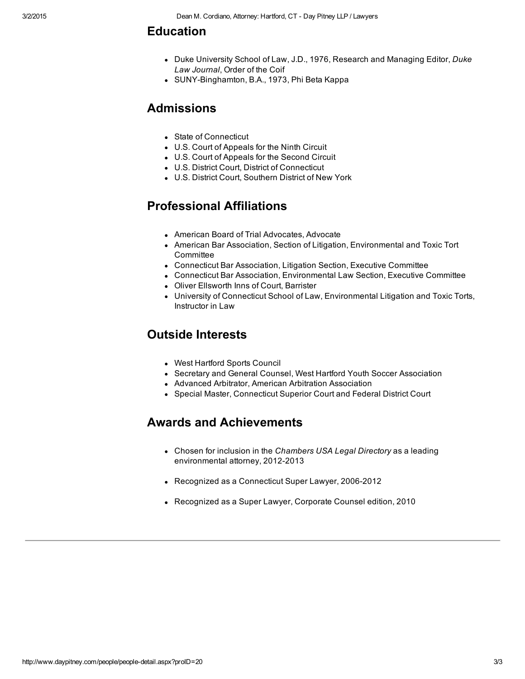### Education

- Duke University School of Law, J.D., 1976, Research and Managing Editor, *Duke Law Journal*, Order of the Coif
- SUNY-Binghamton, B.A., 1973, Phi Beta Kappa

## Admissions

- State of Connecticut
- U.S. Court of Appeals for the Ninth Circuit
- U.S. Court of Appeals for the Second Circuit
- U.S. District Court, District of Connecticut
- U.S. District Court, Southern District of New York

# Professional Affiliations

- American Board of Trial Advocates, Advocate
- American Bar Association, Section of Litigation, Environmental and Toxic Tort **Committee**
- Connecticut Bar Association, Litigation Section, Executive Committee
- Connecticut Bar Association, Environmental Law Section, Executive Committee
- Oliver Ellsworth Inns of Court, Barrister
- University of Connecticut School of Law, Environmental Litigation and Toxic Torts, Instructor in Law

## Outside Interests

- West Hartford Sports Council
- Secretary and General Counsel, West Hartford Youth Soccer Association
- Advanced Arbitrator, American Arbitration Association
- Special Master, Connecticut Superior Court and Federal District Court

# Awards and Achievements

- Chosen for inclusion in the *[Chambers](http://www.chambersandpartners.com/the-rankings-explained) USA Legal Directory* as a leading environmental attorney, 2012-2013
- Recognized as a Connecticut Super [Lawyer,](http://www.superlawyers.com/connecticut/selection_details.html) 2006-2012
- Recognized as a Super [Lawyer,](http://www.superlawyers.com/connecticut/selection_details.html) Corporate Counsel edition, 2010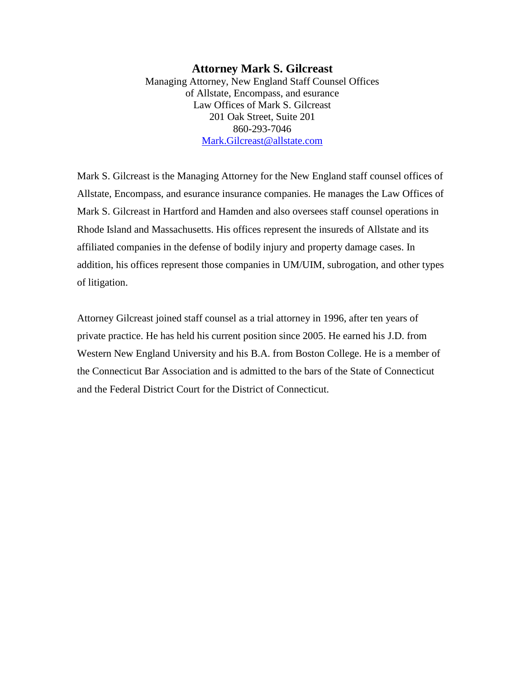### **Attorney Mark S. Gilcreast** Managing Attorney, New England Staff Counsel Offices of Allstate, Encompass, and esurance Law Offices of Mark S. Gilcreast 201 Oak Street, Suite 201 860-293-7046 [Mark.Gilcreast@allstate.com](mailto:Mark.Gilcreast@allstate.com)

Mark S. Gilcreast is the Managing Attorney for the New England staff counsel offices of Allstate, Encompass, and esurance insurance companies. He manages the Law Offices of Mark S. Gilcreast in Hartford and Hamden and also oversees staff counsel operations in Rhode Island and Massachusetts. His offices represent the insureds of Allstate and its affiliated companies in the defense of bodily injury and property damage cases. In addition, his offices represent those companies in UM/UIM, subrogation, and other types of litigation.

Attorney Gilcreast joined staff counsel as a trial attorney in 1996, after ten years of private practice. He has held his current position since 2005. He earned his J.D. from Western New England University and his B.A. from Boston College. He is a member of the Connecticut Bar Association and is admitted to the bars of the State of Connecticut and the Federal District Court for the District of Connecticut.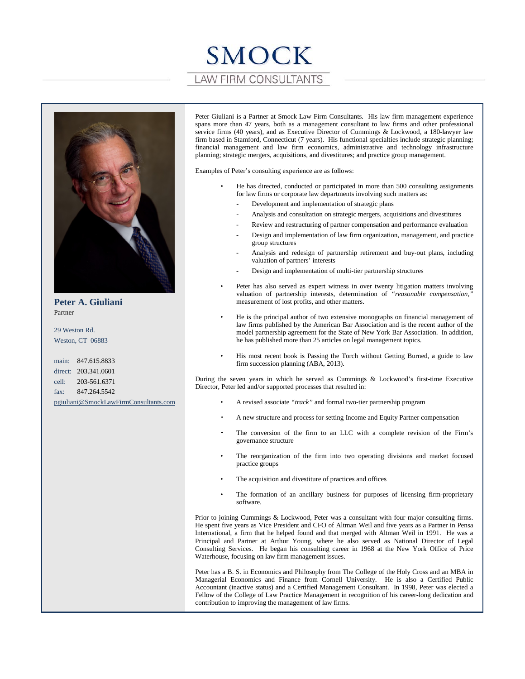# SMOCK **LAW FIRM CONSULTANTS**



**Peter A. Giuliani** Partner

29 Weston Rd. Weston, CT 06883

main: 847.615.8833 direct: 203.341.0601 cell: 203-561.6371 fax: 847.264.5542 [pgiuliani@SmockLawFirmConsultants.com](mailto:pgiuliani@SmockLawFirmConsultants.com) Peter Giuliani is a Partner at Smock Law Firm Consultants. His law firm management experience spans more than 47 years, both as a management consultant to law firms and other professional service firms (40 years), and as Executive Director of Cummings & Lockwood, a 180-lawyer law firm based in Stamford, Connecticut (7 years). His functional specialties include strategic planning; financial management and law firm economics, administrative and technology infrastructure planning; strategic mergers, acquisitions, and divestitures; and practice group management.

Examples of Peter's consulting experience are as follows:

- He has directed, conducted or participated in more than 500 consulting assignments for law firms or corporate law departments involving such matters as:
	- Development and implementation of strategic plans
	- Analysis and consultation on strategic mergers, acquisitions and divestitures
	- Review and restructuring of partner compensation and performance evaluation
	- Design and implementation of law firm organization, management, and practice group structures
	- Analysis and redesign of partnership retirement and buy-out plans, including valuation of partners' interests
	- Design and implementation of multi-tier partnership structures
- Peter has also served as expert witness in over twenty litigation matters involving valuation of partnership interests, determination of *"reasonable compensation*," measurement of lost profits, and other matters.
- He is the principal author of two extensive monographs on financial management of law firms published by the American Bar Association and is the recent author of the model partnership agreement for the State of New York Bar Association. In addition, he has published more than 25 articles on legal management topics.
- His most recent book is Passing the Torch without Getting Burned, a guide to law firm succession planning (ABA, 2013).

During the seven years in which he served as Cummings & Lockwood's first-time Executive Director, Peter led and/or supported processes that resulted in:

- A revised associate *"track"* and formal two-tier partnership program
- A new structure and process for setting Income and Equity Partner compensation
- The conversion of the firm to an LLC with a complete revision of the Firm's governance structure
- The reorganization of the firm into two operating divisions and market focused practice groups
- The acquisition and divestiture of practices and offices
- The formation of an ancillary business for purposes of licensing firm-proprietary software.

Prior to joining Cummings & Lockwood, Peter was a consultant with four major consulting firms. He spent five years as Vice President and CFO of Altman Weil and five years as a Partner in Pensa International, a firm that he helped found and that merged with Altman Weil in 1991. He was a Principal and Partner at Arthur Young, where he also served as National Director of Legal Consulting Services. He began his consulting career in 1968 at the New York Office of Price Waterhouse, focusing on law firm management issues.

Peter has a B. S. in Economics and Philosophy from The College of the Holy Cross and an MBA in Managerial Economics and Finance from Cornell University. He is also a Certified Public Accountant (inactive status) and a Certified Management Consultant. In 1998, Peter was elected a Fellow of the College of Law Practice Management in recognition of his career-long dedication and contribution to improving the management of law firms.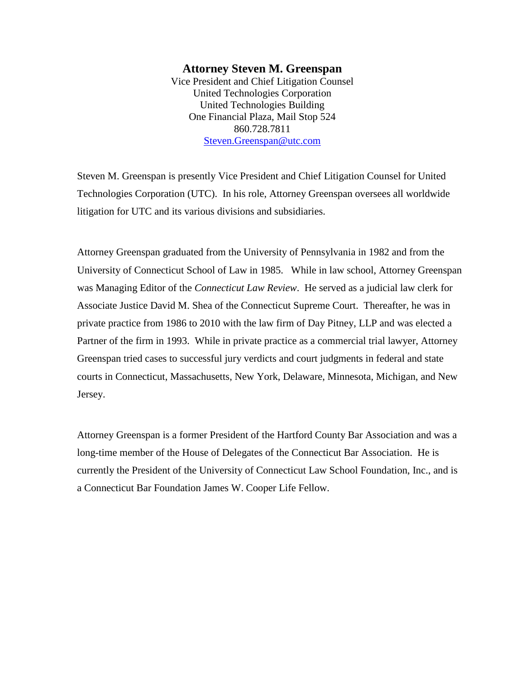### **Attorney Steven M. Greenspan**

Vice President and Chief Litigation Counsel United Technologies Corporation United Technologies Building One Financial Plaza, Mail Stop 524 860.728.7811 [Steven.Greenspan@utc.com](mailto:Steven.Greenspan@utc.com)

Steven M. Greenspan is presently Vice President and Chief Litigation Counsel for United Technologies Corporation (UTC). In his role, Attorney Greenspan oversees all worldwide litigation for UTC and its various divisions and subsidiaries.

Attorney Greenspan graduated from the University of Pennsylvania in 1982 and from the University of Connecticut School of Law in 1985. While in law school, Attorney Greenspan was Managing Editor of the *Connecticut Law Review*. He served as a judicial law clerk for Associate Justice David M. Shea of the Connecticut Supreme Court. Thereafter, he was in private practice from 1986 to 2010 with the law firm of Day Pitney, LLP and was elected a Partner of the firm in 1993. While in private practice as a commercial trial lawyer, Attorney Greenspan tried cases to successful jury verdicts and court judgments in federal and state courts in Connecticut, Massachusetts, New York, Delaware, Minnesota, Michigan, and New Jersey.

Attorney Greenspan is a former President of the Hartford County Bar Association and was a long-time member of the House of Delegates of the Connecticut Bar Association. He is currently the President of the University of Connecticut Law School Foundation, Inc., and is a Connecticut Bar Foundation James W. Cooper Life Fellow.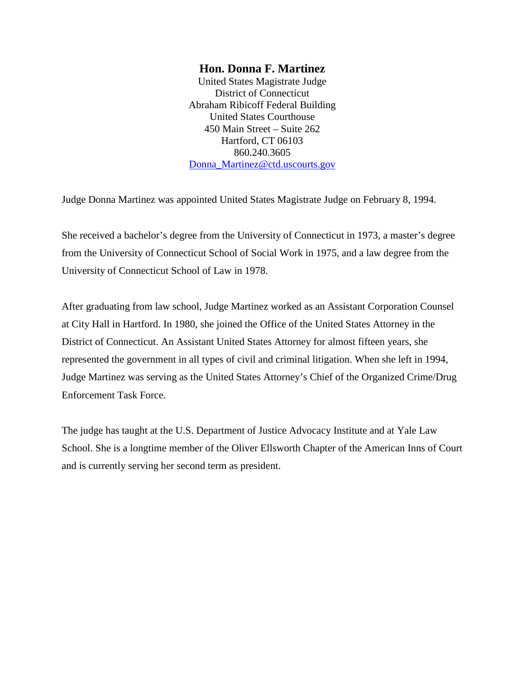### **Hon. Donna F. Martinez**

United States Magistrate Judge District of Connecticut Abraham Ribicoff Federal Building United States Courthouse 450 Main Street – Suite 262 Hartford, CT 06103 860.240.3605 [Donna\\_Martinez@ctd.uscourts.gov](mailto:Donna_Martinez@ctd.uscourts.gov)

Judge Donna Martinez was appointed United States Magistrate Judge on February 8, 1994.

She received a bachelor's degree from the University of Connecticut in 1973, a master's degree from the University of Connecticut School of Social Work in 1975, and a law degree from the University of Connecticut School of Law in 1978.

After graduating from law school, Judge Martinez worked as an Assistant Corporation Counsel at City Hall in Hartford. In 1980, she joined the Office of the United States Attorney in the District of Connecticut. An Assistant United States Attorney for almost fifteen years, she represented the government in all types of civil and criminal litigation. When she left in 1994, Judge Martinez was serving as the United States Attorney's Chief of the Organized Crime/Drug Enforcement Task Force.

The judge has taught at the U.S. Department of Justice Advocacy Institute and at Yale Law School. She is a longtime member of the Oliver Ellsworth Chapter of the American Inns of Court and is currently serving her second term as president.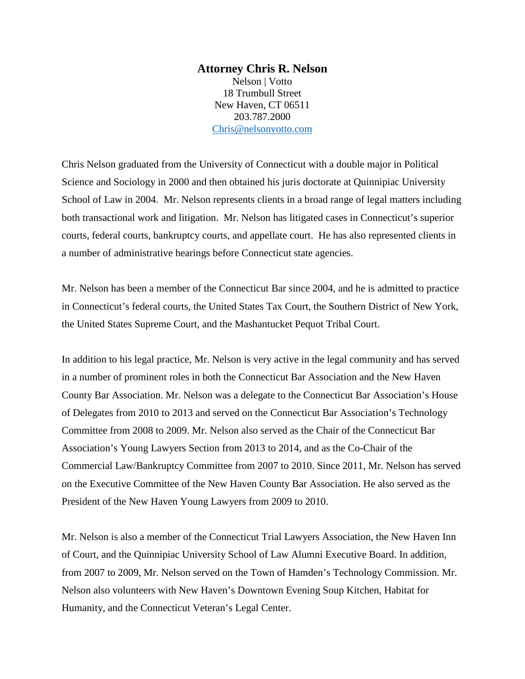### **Attorney Chris R. Nelson** Nelson | Votto 18 Trumbull Street New Haven, CT 06511 203.787.2000 [Chris@nelsonvotto.com](mailto:Chris@nelsonvotto.com)

Chris Nelson graduated from the University of Connecticut with a double major in Political Science and Sociology in 2000 and then obtained his juris doctorate at Quinnipiac University School of Law in 2004. Mr. Nelson represents clients in a broad range of legal matters including both transactional work and litigation. Mr. Nelson has litigated cases in Connecticut's superior courts, federal courts, bankruptcy courts, and appellate court. He has also represented clients in a number of administrative hearings before Connecticut state agencies.

Mr. Nelson has been a member of the Connecticut Bar since 2004, and he is admitted to practice in Connecticut's federal courts, the United States Tax Court, the Southern District of New York, the United States Supreme Court, and the Mashantucket Pequot Tribal Court.

In addition to his legal practice, Mr. Nelson is very active in the legal community and has served in a number of prominent roles in both the Connecticut Bar Association and the New Haven County Bar Association. Mr. Nelson was a delegate to the Connecticut Bar Association's House of Delegates from 2010 to 2013 and served on the Connecticut Bar Association's Technology Committee from 2008 to 2009. Mr. Nelson also served as the Chair of the Connecticut Bar Association's Young Lawyers Section from 2013 to 2014, and as the Co-Chair of the Commercial Law/Bankruptcy Committee from 2007 to 2010. Since 2011, Mr. Nelson has served on the Executive Committee of the New Haven County Bar Association. He also served as the President of the New Haven Young Lawyers from 2009 to 2010.

Mr. Nelson is also a member of the Connecticut Trial Lawyers Association, the New Haven Inn of Court, and the Quinnipiac University School of Law Alumni Executive Board. In addition, from 2007 to 2009, Mr. Nelson served on the Town of Hamden's Technology Commission. Mr. Nelson also volunteers with New Haven's Downtown Evening Soup Kitchen, Habitat for Humanity, and the Connecticut Veteran's Legal Center.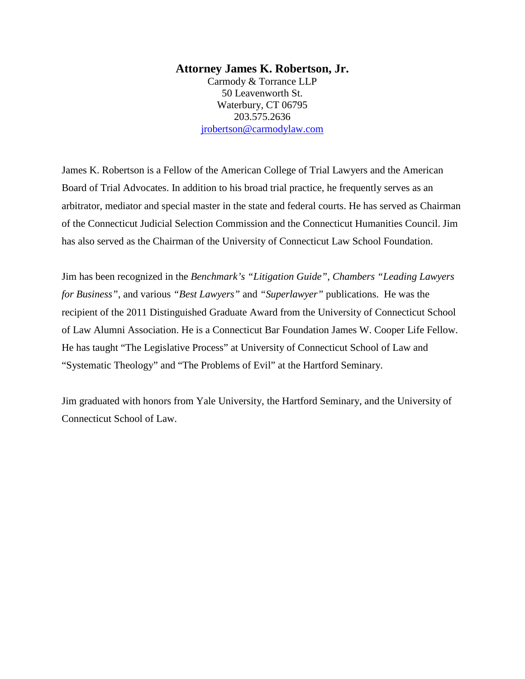### **Attorney James K. Robertson, Jr.**

Carmody & Torrance LLP 50 Leavenworth St. Waterbury, CT 06795 203.575.2636 [jrobertson@carmodylaw.com](mailto:jrobertson@carmodylaw.com)

James K. Robertson is a Fellow of the American College of Trial Lawyers and the American Board of Trial Advocates. In addition to his broad trial practice, he frequently serves as an arbitrator, mediator and special master in the state and federal courts. He has served as Chairman of the Connecticut Judicial Selection Commission and the Connecticut Humanities Council. Jim has also served as the Chairman of the University of Connecticut Law School Foundation.

Jim has been recognized in the *Benchmark's "Litigation Guide"*, *Chambers "Leading Lawyers for Business"*, and various *"Best Lawyers"* and *"Superlawyer"* publications. He was the recipient of the 2011 Distinguished Graduate Award from the University of Connecticut School of Law Alumni Association. He is a Connecticut Bar Foundation James W. Cooper Life Fellow. He has taught "The Legislative Process" at University of Connecticut School of Law and "Systematic Theology" and "The Problems of Evil" at the Hartford Seminary.

Jim graduated with honors from Yale University, the Hartford Seminary, and the University of Connecticut School of Law.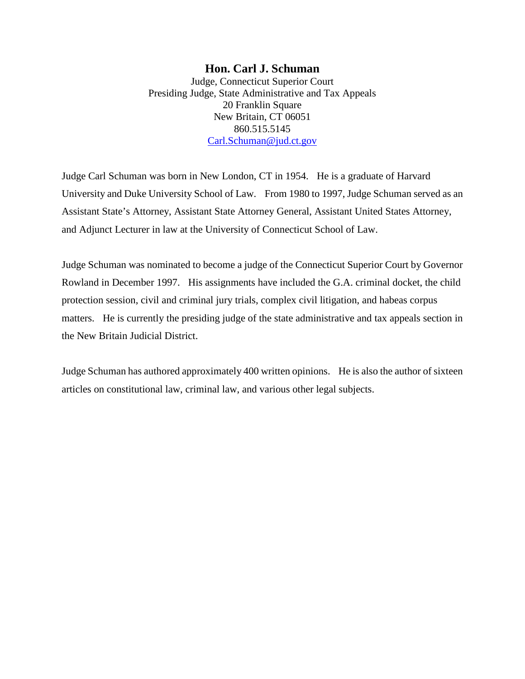### **Hon. Carl J. Schuman** Judge, Connecticut Superior Court Presiding Judge, State Administrative and Tax Appeals 20 Franklin Square New Britain, CT 06051 860.515.5145 [Carl.Schuman@jud.ct.gov](mailto:Carl.Schuman@jud.ct.gov)

Judge Carl Schuman was born in New London, CT in 1954. He is a graduate of Harvard University and Duke University School of Law. From 1980 to 1997, Judge Schuman served as an Assistant State's Attorney, Assistant State Attorney General, Assistant United States Attorney, and Adjunct Lecturer in law at the University of Connecticut School of Law.

Judge Schuman was nominated to become a judge of the Connecticut Superior Court by Governor Rowland in December 1997. His assignments have included the G.A. criminal docket, the child protection session, civil and criminal jury trials, complex civil litigation, and habeas corpus matters. He is currently the presiding judge of the state administrative and tax appeals section in the New Britain Judicial District.

Judge Schuman has authored approximately 400 written opinions. He is also the author of sixteen articles on constitutional law, criminal law, and various other legal subjects.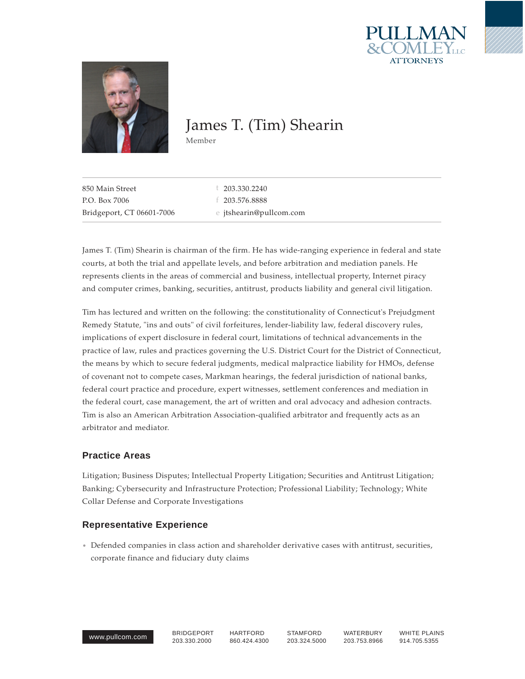



# James T. (Tim) Shearin

Member

| Bridgeport, CT 06601-7006 | e jtshearin@pullcom.com |
|---------------------------|-------------------------|
| P.O. Box 7006             | f 203.576.8888          |
| 850 Main Street           | $\pm$ 203.330.2240      |
|                           |                         |

James T. (Tim) Shearin is chairman of the firm. He has wide-ranging experience in federal and state courts, at both the trial and appellate levels, and before arbitration and mediation panels. He represents clients in the areas of commercial and business, intellectual property, Internet piracy and computer crimes, banking, securities, antitrust, products liability and general civil litigation.

Tim has lectured and written on the following: the constitutionality of Connecticut's Prejudgment Remedy Statute, "ins and outs" of civil forfeitures, lender-liability law, federal discovery rules, implications of expert disclosure in federal court, limitations of technical advancements in the practice of law, rules and practices governing the U.S. District Court for the District of Connecticut, the means by which to secure federal judgments, medical malpractice liability for HMOs, defense of covenant not to compete cases, Markman hearings, the federal jurisdiction of national banks, federal court practice and procedure, expert witnesses, settlement conferences and mediation in the federal court, case management, the art of written and oral advocacy and adhesion contracts. Tim is also an American Arbitration Association-qualified arbitrator and frequently acts as an arbitrator and mediator.

### **Practice Areas**

Litigation; Business Disputes; Intellectual Property Litigation; Securities and Antitrust Litigation; Banking; Cybersecurity and Infrastructure Protection; Professional Liability; Technology; White Collar Defense and Corporate Investigations

### **Representative Experience**

Defended companies in class action and shareholder derivative cases with antitrust, securities, corporate finance and fiduciary duty claims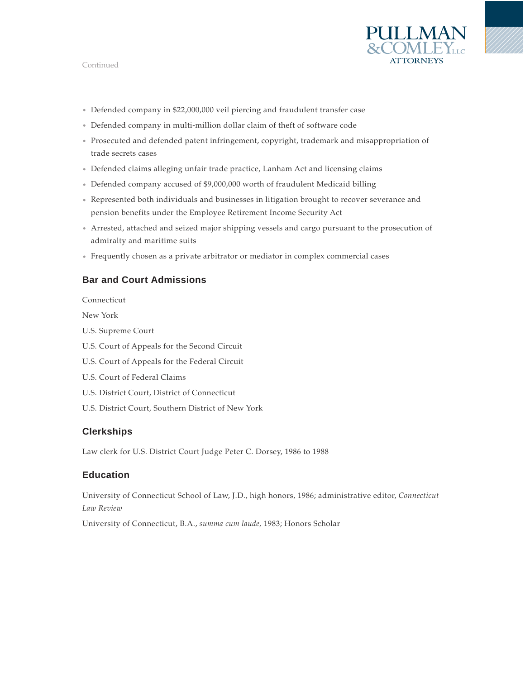### Continued



- Defended company in \$22,000,000 veil piercing and fraudulent transfer case
- Defended company in multi-million dollar claim of theft of software code
- Prosecuted and defended patent infringement, copyright, trademark and misappropriation of trade secrets cases
- Defended claims alleging unfair trade practice, Lanham Act and licensing claims
- Defended company accused of \$9,000,000 worth of fraudulent Medicaid billing
- Represented both individuals and businesses in litigation brought to recover severance and pension benefits under the Employee Retirement Income Security Act
- Arrested, attached and seized major shipping vessels and cargo pursuant to the prosecution of admiralty and maritime suits
- Frequently chosen as a private arbitrator or mediator in complex commercial cases

### **Bar and Court Admissions**

Connecticut

New York

- U.S. Supreme Court
- U.S. Court of Appeals for the Second Circuit
- U.S. Court of Appeals for the Federal Circuit
- U.S. Court of Federal Claims
- U.S. District Court, District of Connecticut
- U.S. District Court, Southern District of New York

### **Clerkships**

Law clerk for U.S. District Court Judge Peter C. Dorsey, 1986 to 1988

### **Education**

University of Connecticut School of Law, J.D., high honors, 1986; administrative editor, *Connecticut Law Review*

University of Connecticut, B.A., *summa cum laude,* 1983; Honors Scholar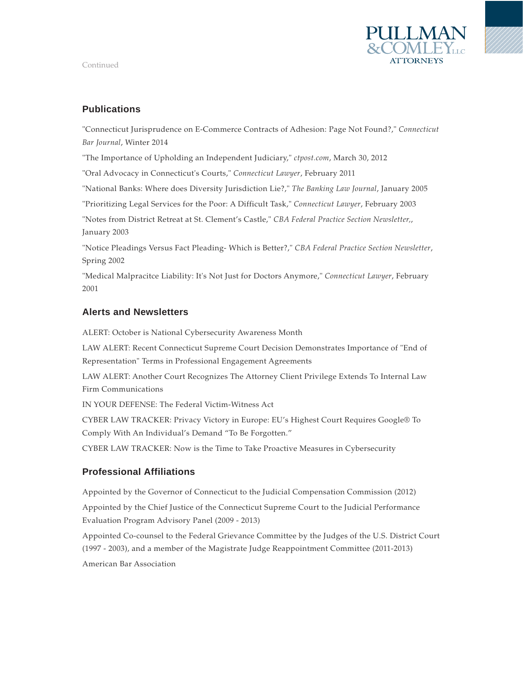



### **Publications**

"Connecticut Jurisprudence on E-Commerce Contracts of Adhesion: Page Not Found?," *Connecticut Bar Journal*, Winter 2014

"The Importance of Upholding an Independent Judiciary," *ctpost.com*, March 30, 2012

"Oral Advocacy in Connecticut's Courts," *Connecticut Lawyer*, February 2011

"National Banks: Where does Diversity Jurisdiction Lie?," *The Banking Law Journal*, January 2005

"Prioritizing Legal Services for the Poor: A Difficult Task," *Connecticut Lawyer*, February 2003

"Notes from District Retreat at St. Clement's Castle," *CBA Federal Practice Section Newsletter,*, January 2003

"Notice Pleadings Versus Fact Pleading- Which is Better?," *CBA Federal Practice Section Newsletter*, Spring 2002

"Medical Malpracitce Liability: It's Not Just for Doctors Anymore," *Connecticut Lawyer*, February 2001

### **Alerts and Newsletters**

ALERT: October is National Cybersecurity Awareness Month

LAW ALERT: Recent Connecticut Supreme Court Decision Demonstrates Importance of "End of Representation" Terms in Professional Engagement Agreements

LAW ALERT: Another Court Recognizes The Attorney Client Privilege Extends To Internal Law Firm Communications

IN YOUR DEFENSE: The Federal Victim-Witness Act

CYBER LAW TRACKER: Privacy Victory in Europe: EU's Highest Court Requires Google® To Comply With An Individual's Demand "To Be Forgotten."

CYBER LAW TRACKER: Now is the Time to Take Proactive Measures in Cybersecurity

### **Professional Affiliations**

Appointed by the Governor of Connecticut to the Judicial Compensation Commission (2012)

Appointed by the Chief Justice of the Connecticut Supreme Court to the Judicial Performance Evaluation Program Advisory Panel (2009 - 2013)

Appointed Co-counsel to the Federal Grievance Committee by the Judges of the U.S. District Court (1997 - 2003), and a member of the Magistrate Judge Reappointment Committee (2011-2013) American Bar Association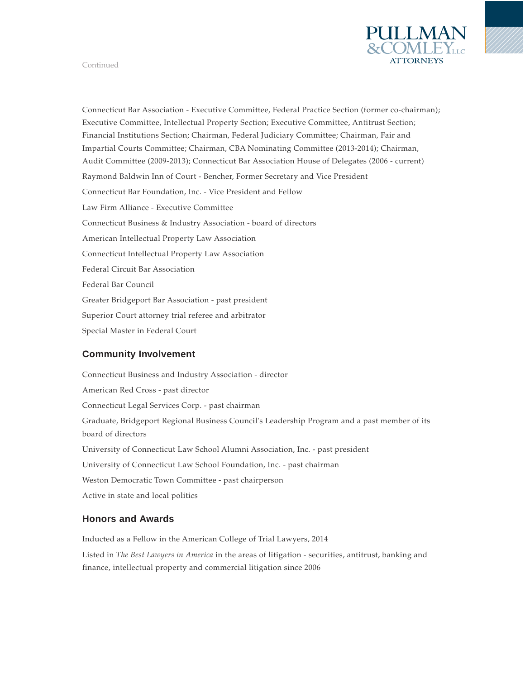

#### Continued

Connecticut Bar Association - Executive Committee, Federal Practice Section (former co-chairman); Executive Committee, Intellectual Property Section; Executive Committee, Antitrust Section; Financial Institutions Section; Chairman, Federal Judiciary Committee; Chairman, Fair and Impartial Courts Committee; Chairman, CBA Nominating Committee (2013-2014); Chairman, Audit Committee (2009-2013); Connecticut Bar Association House of Delegates (2006 - current) Raymond Baldwin Inn of Court - Bencher, Former Secretary and Vice President Connecticut Bar Foundation, Inc. - Vice President and Fellow Law Firm Alliance - Executive Committee Connecticut Business & Industry Association - board of directors American Intellectual Property Law Association Connecticut Intellectual Property Law Association Federal Circuit Bar Association Federal Bar Council Greater Bridgeport Bar Association - past president Superior Court attorney trial referee and arbitrator Special Master in Federal Court

### **Community Involvement**

Connecticut Business and Industry Association - director American Red Cross - past director Connecticut Legal Services Corp. - past chairman Graduate, Bridgeport Regional Business Council's Leadership Program and a past member of its board of directors University of Connecticut Law School Alumni Association, Inc. - past president University of Connecticut Law School Foundation, Inc. - past chairman Weston Democratic Town Committee - past chairperson Active in state and local politics

### **Honors and Awards**

Inducted as a Fellow in the American College of Trial Lawyers, 2014 Listed in *The Best Lawyers in America* in the areas of litigation - securities, antitrust, banking and finance, intellectual property and commercial litigation since 2006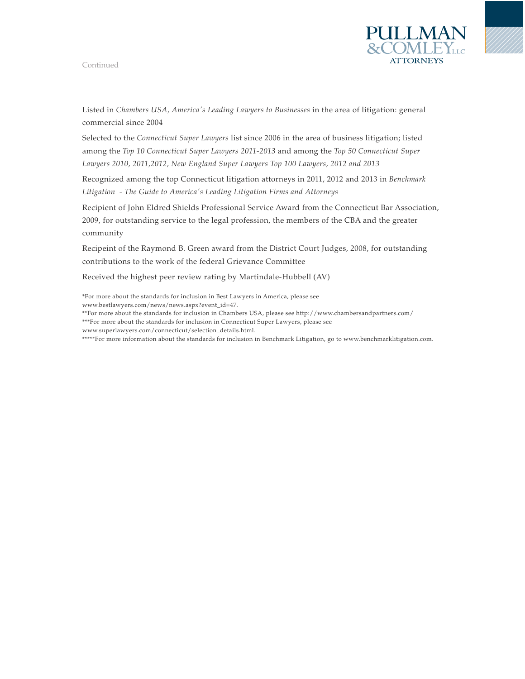#### Continued



Listed in *Chambers USA, America's Leading Lawyers to Businesses* in the area of litigation: general commercial since 2004

Selected to the *Connecticut Super Lawyers* list since 2006 in the area of business litigation; listed among the *Top 10 Connecticut Super Lawyers 2011-2013* and among the *Top 50 Connecticut Super Lawyers 2010, 2011,2012, New England Super Lawyers Top 100 Lawyers, 2012 and 2013*

Recognized among the top Connecticut litigation attorneys in 2011, 2012 and 2013 in *Benchmark Litigation - The Guide to America's Leading Litigation Firms and Attorneys*

Recipient of John Eldred Shields Professional Service Award from the Connecticut Bar Association, 2009, for outstanding service to the legal profession, the members of the CBA and the greater community

Recipeint of the Raymond B. Green award from the District Court Judges, 2008, for outstanding contributions to the work of the federal Grievance Committee

Received the highest peer review rating by Martindale-Hubbell (AV)

\*For more about the standards for inclusion in Best Lawyers in America, please see www.bestlawyers.com/news/news.aspx?event\_id=47.

\*\*For more about the standards for inclusion in Chambers USA, please see http://www.chambersandpartners.com/

\*\*\*For more about the standards for inclusion in Connecticut Super Lawyers, please see

www.superlawyers.com/connecticut/selection\_details.html.

\*\*\*\*\*For more information about the standards for inclusion in Benchmark Litigation, go to www.benchmarklitigation.com.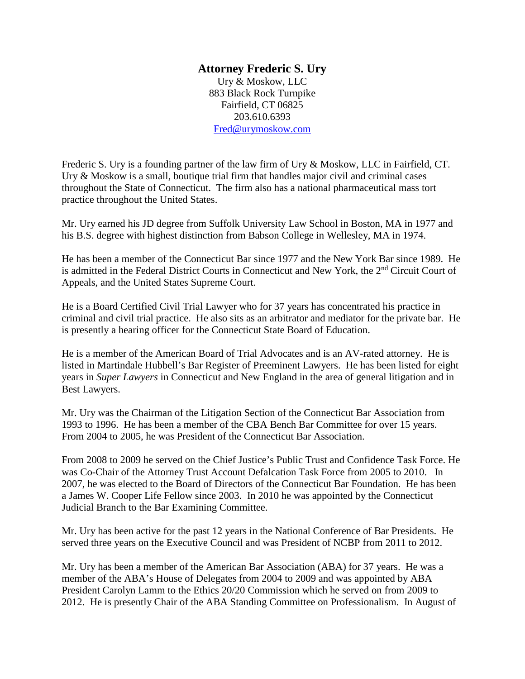### **Attorney Frederic S. Ury**

Ury & Moskow, LLC 883 Black Rock Turnpike Fairfield, CT 06825 203.610.6393 [Fred@urymoskow.com](mailto:Fred@urymoskow.com)

Frederic S. Ury is a founding partner of the law firm of Ury & Moskow, LLC in Fairfield, CT. Ury & Moskow is a small, boutique trial firm that handles major civil and criminal cases throughout the State of Connecticut. The firm also has a national pharmaceutical mass tort practice throughout the United States.

Mr. Ury earned his JD degree from Suffolk University Law School in Boston, MA in 1977 and his B.S. degree with highest distinction from Babson College in Wellesley, MA in 1974.

He has been a member of the Connecticut Bar since 1977 and the New York Bar since 1989. He is admitted in the Federal District Courts in Connecticut and New York, the 2<sup>nd</sup> Circuit Court of Appeals, and the United States Supreme Court.

He is a Board Certified Civil Trial Lawyer who for 37 years has concentrated his practice in criminal and civil trial practice. He also sits as an arbitrator and mediator for the private bar. He is presently a hearing officer for the Connecticut State Board of Education.

He is a member of the American Board of Trial Advocates and is an AV-rated attorney. He is listed in Martindale Hubbell's Bar Register of Preeminent Lawyers. He has been listed for eight years in *Super Lawyers* in Connecticut and New England in the area of general litigation and in Best Lawyers.

Mr. Ury was the Chairman of the Litigation Section of the Connecticut Bar Association from 1993 to 1996. He has been a member of the CBA Bench Bar Committee for over 15 years. From 2004 to 2005, he was President of the Connecticut Bar Association.

From 2008 to 2009 he served on the Chief Justice's Public Trust and Confidence Task Force. He was Co-Chair of the Attorney Trust Account Defalcation Task Force from 2005 to 2010. In 2007, he was elected to the Board of Directors of the Connecticut Bar Foundation. He has been a James W. Cooper Life Fellow since 2003. In 2010 he was appointed by the Connecticut Judicial Branch to the Bar Examining Committee.

Mr. Ury has been active for the past 12 years in the National Conference of Bar Presidents. He served three years on the Executive Council and was President of NCBP from 2011 to 2012.

Mr. Ury has been a member of the American Bar Association (ABA) for 37 years. He was a member of the ABA's House of Delegates from 2004 to 2009 and was appointed by ABA President Carolyn Lamm to the Ethics 20/20 Commission which he served on from 2009 to 2012. He is presently Chair of the ABA Standing Committee on Professionalism. In August of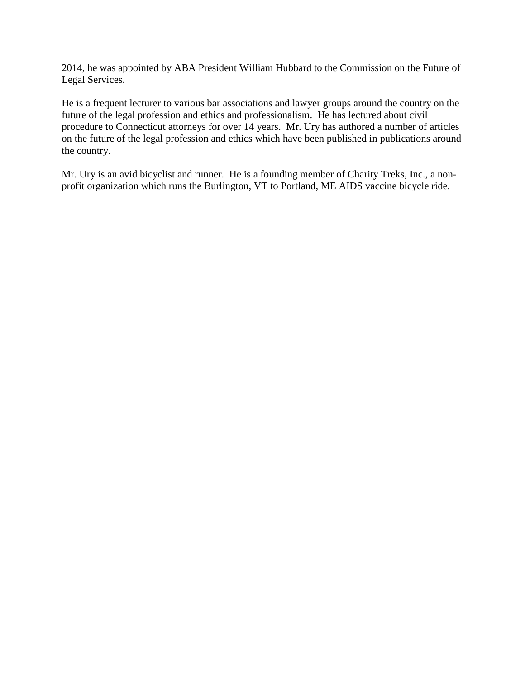2014, he was appointed by ABA President William Hubbard to the Commission on the Future of Legal Services.

He is a frequent lecturer to various bar associations and lawyer groups around the country on the future of the legal profession and ethics and professionalism. He has lectured about civil procedure to Connecticut attorneys for over 14 years. Mr. Ury has authored a number of articles on the future of the legal profession and ethics which have been published in publications around the country.

Mr. Ury is an avid bicyclist and runner. He is a founding member of Charity Treks, Inc., a nonprofit organization which runs the Burlington, VT to Portland, ME AIDS vaccine bicycle ride.